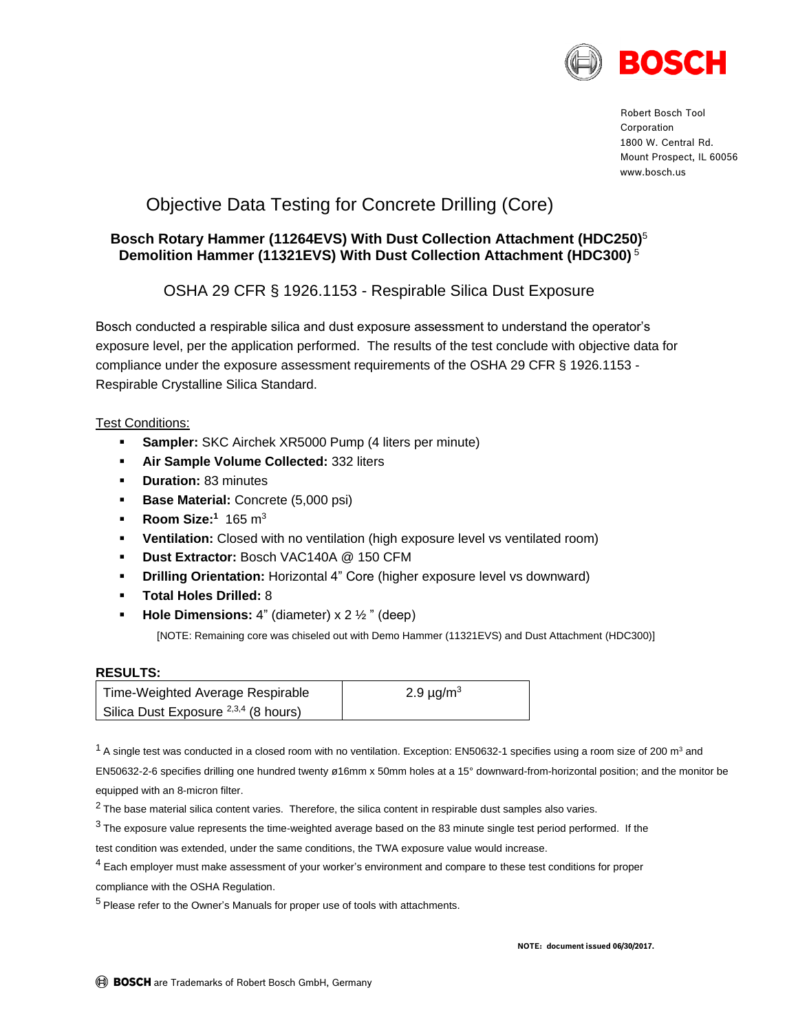

Robert Bosch Tool Corporation 1800 W. Central Rd. Mount Prospect, IL 60056 www.bosch.us

# Objective Data Testing for Concrete Drilling (Core)

### **Bosch Rotary Hammer (11264EVS) With Dust Collection Attachment (HDC250)** 5 **Demolition Hammer (11321EVS) With Dust Collection Attachment (HDC300)** <sup>5</sup>

OSHA 29 CFR § 1926.1153 - Respirable Silica Dust Exposure

Bosch conducted a respirable silica and dust exposure assessment to understand the operator's exposure level, per the application performed. The results of the test conclude with objective data for compliance under the exposure assessment requirements of the OSHA 29 CFR § 1926.1153 - Respirable Crystalline Silica Standard.

### Test Conditions:

- **Sampler:** SKC Airchek XR5000 Pump (4 liters per minute)
- **Air Sample Volume Collected: 332 liters**
- **-** Duration: 83 minutes
- **Base Material:** Concrete (5,000 psi)
- **Room Size:**<sup>1</sup> 165 m<sup>3</sup>
- **Ventilation:** Closed with no ventilation (high exposure level vs ventilated room)
- **Dust Extractor:** Bosch VAC140A @ 150 CFM
- **Drilling Orientation:** Horizontal 4" Core (higher exposure level vs downward)
- **Total Holes Drilled:** 8
- **Hole Dimensions:** 4" (diameter) x 2  $\frac{1}{2}$ " (deep)

[NOTE: Remaining core was chiseled out with Demo Hammer (11321EVS) and Dust Attachment (HDC300)]

#### **RESULTS:**

| Time-Weighted Average Respirable                | 2.9 $\mu$ g/m <sup>3</sup> |
|-------------------------------------------------|----------------------------|
| Silica Dust Exposure <sup>2,3,4</sup> (8 hours) |                            |

 $1$  A single test was conducted in a closed room with no ventilation. Exception: EN50632-1 specifies using a room size of 200 m<sup>3</sup> and

EN50632-2-6 specifies drilling one hundred twenty ø16mm x 50mm holes at a 15° downward-from-horizontal position; and the monitor be equipped with an 8-micron filter.

 $2$  The base material silica content varies. Therefore, the silica content in respirable dust samples also varies.

<sup>3</sup> The exposure value represents the time-weighted average based on the 83 minute single test period performed. If the

test condition was extended, under the same conditions, the TWA exposure value would increase.

<sup>4</sup> Each employer must make assessment of your worker's environment and compare to these test conditions for proper compliance with the OSHA Regulation.

 $<sup>5</sup>$  Please refer to the Owner's Manuals for proper use of tools with attachments.</sup>